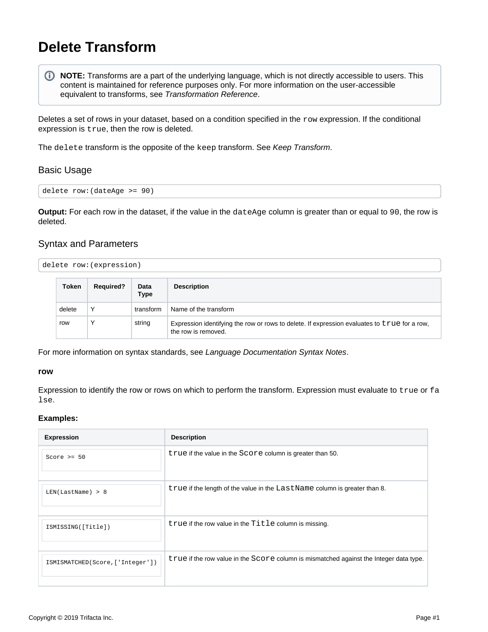# <span id="page-0-0"></span>**Delete Transform**

**NOTE:** Transforms are a part of the underlying language, which is not directly accessible to users. This O. content is maintained for reference purposes only. For more information on the user-accessible equivalent to transforms, see [Transformation Reference](https://docs.trifacta.com/display/r060/Transformation+Reference).

Deletes a set of rows in your dataset, based on a condition specified in the  $_{\rm row}$  expression. If the conditional expression is true, then the row is deleted.

The delete transform is the opposite of the keep transform. See [Keep Transform](https://docs.trifacta.com/display/r060/Keep+Transform).

# Basic Usage

delete row:(dateAge >= 90)

**Output:** For each row in the dataset, if the value in the dateAge column is greater than or equal to 90, the row is deleted.

# Syntax and Parameters

| delete row: (expression) |
|--------------------------|
|                          |
|                          |

| Token  | <b>Required?</b> | Data<br><b>Type</b> | <b>Description</b>                                                                                                  |
|--------|------------------|---------------------|---------------------------------------------------------------------------------------------------------------------|
| delete | $\check{ }$      | transform           | Name of the transform                                                                                               |
| row    | $\check{ }$      | string              | Expression identifying the row or rows to delete. If expression evaluates to true for a row,<br>the row is removed. |

For more information on syntax standards, see [Language Documentation Syntax Notes](https://docs.trifacta.com/display/r060/Language+Documentation+Syntax+Notes).

#### **row**

Expression to identify the row or rows on which to perform the transform. Expression must evaluate to true or fa lse.

#### **Examples:**

| <b>Expression</b>                 | <b>Description</b>                                                                     |
|-----------------------------------|----------------------------------------------------------------------------------------|
| Score $>= 50$                     | true if the value in the Score column is greater than 50.                              |
| LEN(LastName) > 8                 | true if the length of the value in the LastName column is greater than 8.              |
| ISMISSING([Title])                | true if the row value in the Title column is missing.                                  |
| ISMISMATCHED (Score, ['Integer']) | true if the row value in the Score column is mismatched against the Integer data type. |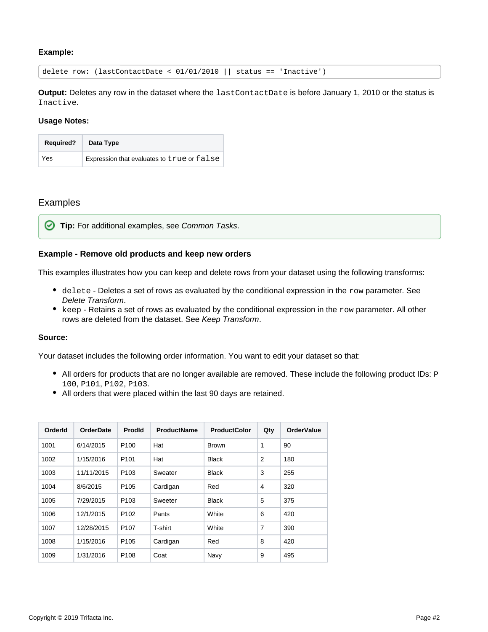# **Example:**

delete row: (lastContactDate < 01/01/2010 || status == 'Inactive')

**Output:** Deletes any row in the dataset where the lastContactDate is before January 1, 2010 or the status is Inactive.

#### **Usage Notes:**

| <b>Required?</b> | Data Type                                  |
|------------------|--------------------------------------------|
| Yes              | Expression that evaluates to true or false |

# Examples

**Tip:** For additional examples, see [Common Tasks](https://docs.trifacta.com/display/r060/Common+Tasks).

### **Example - Remove old products and keep new orders**

This examples illustrates how you can keep and delete rows from your dataset using the following transforms:

- $\bullet$  delete Deletes a set of rows as evaluated by the conditional expression in the row parameter. See [Delete Transform](#page-0-0).
- $\bullet$  keep Retains a set of rows as evaluated by the conditional expression in the  $_{\rm row}$  parameter. All other rows are deleted from the dataset. See [Keep Transform](https://docs.trifacta.com/display/r060/Keep+Transform).

## **Source:**

Your dataset includes the following order information. You want to edit your dataset so that:

- All orders for products that are no longer available are removed. These include the following product IDs: P 100, P101, P102, P103.
- All orders that were placed within the last 90 days are retained.

| OrderId | <b>OrderDate</b> | <b>Prodld</b>    | <b>ProductName</b> | <b>ProductColor</b> | Qty            | <b>OrderValue</b> |
|---------|------------------|------------------|--------------------|---------------------|----------------|-------------------|
| 1001    | 6/14/2015        | P <sub>100</sub> | Hat                | <b>Brown</b>        | 1              | 90                |
| 1002    | 1/15/2016        | P <sub>101</sub> | Hat                | <b>Black</b>        | 2              | 180               |
| 1003    | 11/11/2015       | P <sub>103</sub> | Sweater            | <b>Black</b>        | 3              | 255               |
| 1004    | 8/6/2015         | P <sub>105</sub> | Cardigan           | Red                 | $\overline{4}$ | 320               |
| 1005    | 7/29/2015        | P <sub>103</sub> | Sweeter            | <b>Black</b>        | 5              | 375               |
| 1006    | 12/1/2015        | P <sub>102</sub> | Pants              | White               | 6              | 420               |
| 1007    | 12/28/2015       | P <sub>107</sub> | T-shirt            | White               | $\overline{7}$ | 390               |
| 1008    | 1/15/2016        | P <sub>105</sub> | Cardigan           | Red                 | 8              | 420               |
| 1009    | 1/31/2016        | P <sub>108</sub> | Coat               | Navy                | 9              | 495               |